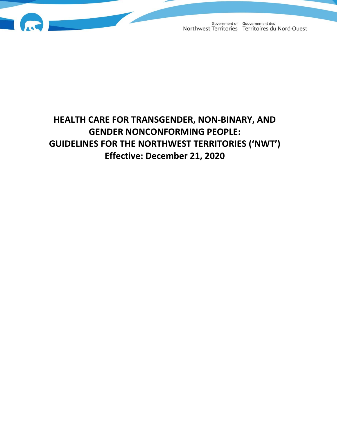

Government of Gouvernement des<br>Northwest Territories Territoires du Nord-Ouest

# **HEALTH CARE FOR TRANSGENDER, NON-BINARY, AND GENDER NONCONFORMING PEOPLE: GUIDELINES FOR THE NORTHWEST TERRITORIES ('NWT') Effective: December 21, 2020**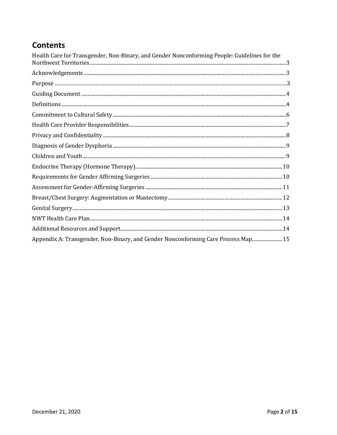# **Contents**

| Health Care for Transgender, Non-Binary, and Gender Nonconforming People: Guidelines for the |
|----------------------------------------------------------------------------------------------|
|                                                                                              |
|                                                                                              |
|                                                                                              |
|                                                                                              |
|                                                                                              |
|                                                                                              |
|                                                                                              |
|                                                                                              |
|                                                                                              |
|                                                                                              |
|                                                                                              |
|                                                                                              |
|                                                                                              |
|                                                                                              |
|                                                                                              |
|                                                                                              |
| Appendix A: Transgender, Non-Binary, and Gender Nonconforming Care Process Map 15            |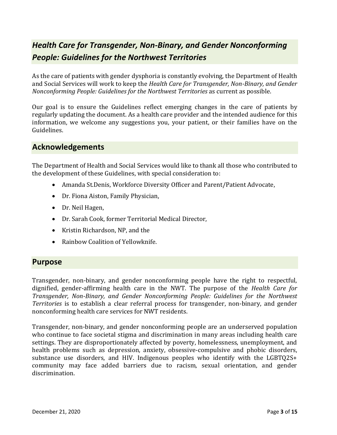# <span id="page-2-0"></span>*Health Care for Transgender, Non-Binary, and Gender Nonconforming People: Guidelines for the Northwest Territories*

As the care of patients with gender dysphoria is constantly evolving, the Department of Health and Social Services will work to keep the *Health Care for Transgender, Non-Binary, and Gender Nonconforming People: Guidelines for the Northwest Territories* as current as possible.

Our goal is to ensure the Guidelines reflect emerging changes in the care of patients by regularly updating the document. As a health care provider and the intended audience for this information, we welcome any suggestions you, your patient, or their families have on the Guidelines.

## <span id="page-2-1"></span>**Acknowledgements**

The Department of Health and Social Services would like to thank all those who contributed to the development of these Guidelines, with special consideration to:

- Amanda St.Denis, Workforce Diversity Officer and Parent/Patient Advocate,
- Dr. Fiona Aiston, Family Physician,
- Dr. Neil Hagen,
- Dr. Sarah Cook, former Territorial Medical Director,
- Kristin Richardson, NP, and the
- Rainbow Coalition of Yellowknife.

### <span id="page-2-2"></span>**Purpose**

Transgender, non-binary, and gender nonconforming people have the right to respectful, dignified, gender-affirming health care in the NWT. The purpose of the *Health Care for Transgender, Non-Binary, and Gender Nonconforming People: Guidelines for the Northwest Territories* is to establish a clear referral process for transgender, non-binary, and gender nonconforming health care services for NWT residents.

Transgender, non-binary, and gender nonconforming people are an underserved population who continue to face societal stigma and discrimination in many areas including health care settings. They are disproportionately affected by poverty, homelessness, unemployment, and health problems such as depression, anxiety, obsessive-compulsive and phobic disorders, substance use disorders, and HIV. Indigenous peoples who identify with the LGBTQ2S+ community may face added barriers due to racism, sexual orientation, and gender discrimination.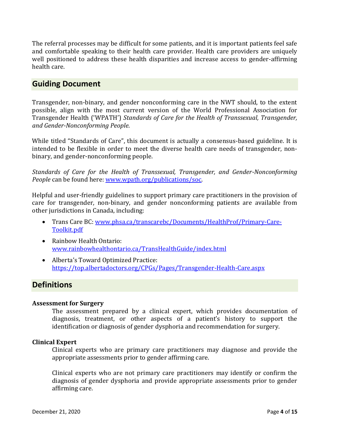The referral processes may be difficult for some patients, and it is important patients feel safe and comfortable speaking to their health care provider. Health care providers are uniquely well positioned to address these health disparities and increase access to gender-affirming health care.

### <span id="page-3-0"></span>**Guiding Document**

Transgender, non-binary, and gender nonconforming care in the NWT should, to the extent possible, align with the most current version of the World Professional Association for Transgender Health ('WPATH') *Standards of Care for the Health of Transsexual, Transgender, and Gender-Nonconforming People*.

While titled "Standards of Care", this document is actually a consensus-based guideline. It is intended to be flexible in order to meet the diverse health care needs of transgender, nonbinary, and gender-nonconforming people.

*Standards of Care for the Health of Transsexual, Transgender, and Gender-Nonconforming People* can be found here[: www.wpath.org/publications/soc.](http://www.wpath.org/publications/soc)

Helpful and user-friendly guidelines to support primary care practitioners in the provision of care for transgender, non-binary, and gender nonconforming patients are available from other jurisdictions in Canada, including:

- Trans Care BC: [www.phsa.ca/transcarebc/Documents/HealthProf/Primary-Care-](http://www.phsa.ca/transcarebc/Documents/HealthProf/Primary-Care-Toolkit.pdf)[Toolkit.pdf](http://www.phsa.ca/transcarebc/Documents/HealthProf/Primary-Care-Toolkit.pdf)
- Rainbow Health Ontario: [www.rainbowhealthontario.ca/TransHealthGuide/index.html](http://www.rainbowhealthontario.ca/TransHealthGuide/index.html)
- Alberta's Toward Optimized Practice: <https://top.albertadoctors.org/CPGs/Pages/Transgender-Health-Care.aspx>

# <span id="page-3-1"></span>**Definitions**

#### **Assessment for Surgery**

The assessment prepared by a clinical expert, which provides documentation of diagnosis, treatment, or other aspects of a patient's history to support the identification or diagnosis of gender dysphoria and recommendation for surgery.

#### **Clinical Expert**

Clinical experts who are primary care practitioners may diagnose and provide the appropriate assessments prior to gender affirming care.

Clinical experts who are not primary care practitioners may identify or confirm the diagnosis of gender dysphoria and provide appropriate assessments prior to gender affirming care.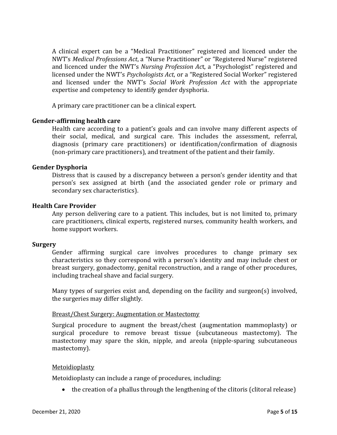A clinical expert can be a "Medical Practitioner" registered and licenced under the NWT's *Medical Professions Act*, a "Nurse Practitioner" or "Registered Nurse" registered and licenced under the NWT's *Nursing Profession Ac*t, a "Psychologist" registered and licensed under the NWT's *Psychologists Act*, or a "Registered Social Worker" registered and licensed under the NWT's *Social Work Profession Act* with the appropriate expertise and competency to identify gender dysphoria.

A primary care practitioner can be a clinical expert.

#### **Gender-affirming health care**

Health care according to a patient's goals and can involve many different aspects of their social, medical, and surgical care. This includes the assessment, referral, diagnosis (primary care practitioners) or identification/confirmation of diagnosis (non-primary care practitioners), and treatment of the patient and their family.

#### **Gender Dysphoria**

Distress that is caused by a discrepancy between a person's gender identity and that person's sex assigned at birth (and the associated gender role or primary and secondary sex characteristics).

#### **Health Care Provider**

Any person delivering care to a patient. This includes, but is not limited to, primary care practitioners, clinical experts, registered nurses, community health workers, and home support workers.

#### **Surgery**

Gender affirming surgical care involves procedures to change primary sex characteristics so they correspond with a person's identity and may include chest or breast surgery, gonadectomy, genital reconstruction, and a range of other procedures, including tracheal shave and facial surgery.

Many types of surgeries exist and, depending on the facility and surgeon(s) involved, the surgeries may differ slightly.

#### Breast/Chest Surgery: Augmentation or Mastectomy

Surgical procedure to augment the breast/chest (augmentation mammoplasty) or surgical procedure to remove breast tissue (subcutaneous mastectomy). The mastectomy may spare the skin, nipple, and areola (nipple-sparing subcutaneous mastectomy).

#### Metoidioplasty

Metoidioplasty can include a range of procedures, including:

• the creation of a phallus through the lengthening of the clitoris (clitoral release)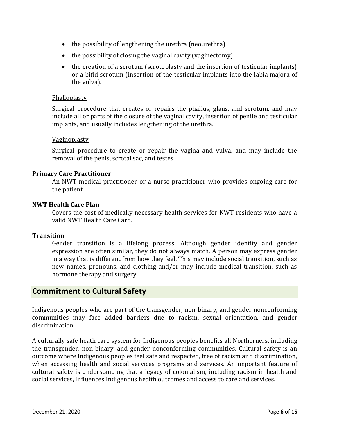- the possibility of lengthening the urethra (neourethra)
- the possibility of closing the vaginal cavity (vaginectomy)
- the creation of a scrotum (scrotoplasty and the insertion of testicular implants) or a bifid scrotum (insertion of the testicular implants into the labia majora of the vulva).

#### Phalloplasty

Surgical procedure that creates or repairs the phallus, glans, and scrotum, and may include all or parts of the closure of the vaginal cavity, insertion of penile and testicular implants, and usually includes lengthening of the urethra.

#### Vaginoplasty

Surgical procedure to create or repair the vagina and vulva, and may include the removal of the penis, scrotal sac, and testes.

#### **Primary Care Practitioner**

An NWT medical practitioner or a nurse practitioner who provides ongoing care for the patient.

#### **NWT Health Care Plan**

Covers the cost of medically necessary health services for NWT residents who have a valid NWT Health Care Card.

#### **Transition**

Gender transition is a lifelong process. Although gender identity and gender expression are often similar, they do not always match. A person may express gender in a way that is different from how they feel. This may include social transition, such as new names, pronouns, and clothing and/or may include medical transition, such as hormone therapy and surgery.

### <span id="page-5-0"></span>**Commitment to Cultural Safety**

Indigenous peoples who are part of the transgender, non-binary, and gender nonconforming communities may face added barriers due to racism, sexual orientation, and gender discrimination.

A culturally safe heath care system for Indigenous peoples benefits all Northerners, including the transgender, non-binary, and gender nonconforming communities. Cultural safety is an outcome where Indigenous peoples feel safe and respected, free of racism and discrimination, when accessing health and social services programs and services. An important feature of cultural safety is understanding that a legacy of colonialism, including racism in health and social services, influences Indigenous health outcomes and access to care and services.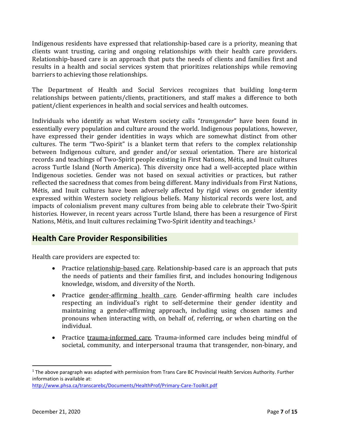Indigenous residents have expressed that relationship-based care is a priority, meaning that clients want trusting, caring and ongoing relationships with their health care providers. Relationship-based care is an approach that puts the needs of clients and families first and results in a health and social services system that prioritizes relationships while removing barriers to achieving those relationships.

The Department of Health and Social Services recognizes that building long-term relationships between patients/clients, practitioners, and staff makes a difference to both patient/client experiences in health and social services and health outcomes.

Individuals who identify as what Western society calls "*transgender*" have been found in essentially every population and culture around the world. Indigenous populations, however, have expressed their gender identities in ways which are somewhat distinct from other cultures. The term "Two-Spirit" is a blanket term that refers to the complex relationship between Indigenous culture, and gender and/or sexual orientation. There are historical records and teachings of Two-Spirit people existing in First Nations, Métis, and Inuit cultures across Turtle Island (North America). This diversity once had a well-accepted place within Indigenous societies. Gender was not based on sexual activities or practices, but rather reflected the sacredness that comes from being different. Many individuals from First Nations, Métis, and Inuit cultures have been adversely affected by rigid views on gender identity expressed within Western society religious beliefs. Many historical records were lost, and impacts of colonialism prevent many cultures from being able to celebrate their Two-Spirit histories. However, in recent years across Turtle Island, there has been a resurgence of First Nations, Métis, and Inuit cultures reclaiming Two-Spirit identity and teachings.<sup>1</sup>

# <span id="page-6-0"></span>**Health Care Provider Responsibilities**

Health care providers are expected to:

- Practice relationship-based care. Relationship-based care is an approach that puts the needs of patients and their families first, and includes honouring Indigenous knowledge, wisdom, and diversity of the North.
- Practice gender-affirming health care. Gender-affirming health care includes respecting an individual's right to self-determine their gender identity and maintaining a gender-affirming approach, including using chosen names and pronouns when interacting with, on behalf of, referring, or when charting on the individual.
- Practice trauma-informed care. Trauma-informed care includes being mindful of societal, community, and interpersonal trauma that transgender, non-binary, and

 $1$  The above paragraph was adapted with permission from Trans Care BC Provincial Health Services Authority. Further information is available at:

<http://www.phsa.ca/transcarebc/Documents/HealthProf/Primary-Care-Toolkit.pdf>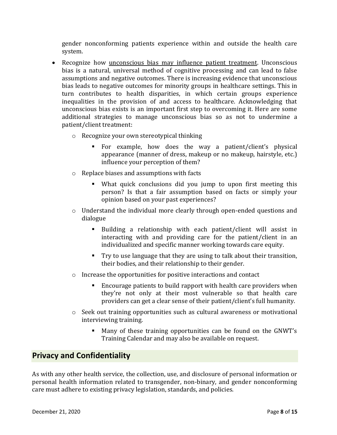gender nonconforming patients experience within and outside the health care system.

- Recognize how *unconscious bias may influence patient treatment*. Unconscious bias is a natural, universal method of cognitive processing and can lead to false assumptions and negative outcomes. There is increasing evidence that unconscious bias leads to negative outcomes for minority groups in healthcare settings. This in turn contributes to health disparities, in which certain groups experience inequalities in the provision of and access to healthcare. Acknowledging that unconscious bias exists is an important first step to overcoming it. Here are some additional strategies to manage unconscious bias so as not to undermine a patient/client treatment:
	- o Recognize your own stereotypical thinking
		- For example, how does the way a patient/client's physical appearance (manner of dress, makeup or no makeup, hairstyle, etc.) influence your perception of them?
	- o Replace biases and assumptions with facts
		- What quick conclusions did you jump to upon first meeting this person? Is that a fair assumption based on facts or simply your opinion based on your past experiences?
	- o Understand the individual more clearly through open-ended questions and dialogue
		- Building a relationship with each patient/client will assist in interacting with and providing care for the patient/client in an individualized and specific manner working towards care equity.
		- Try to use language that they are using to talk about their transition, their bodies, and their relationship to their gender.
	- o Increase the opportunities for positive interactions and contact
		- Encourage patients to build rapport with health care providers when they're not only at their most vulnerable so that health care providers can get a clear sense of their patient/client's full humanity.
	- $\circ$  Seek out training opportunities such as cultural awareness or motivational interviewing training.
		- Many of these training opportunities can be found on the GNWT's Training Calendar and may also be available on request.

# <span id="page-7-0"></span>**Privacy and Confidentiality**

As with any other health service, the collection, use, and disclosure of personal information or personal health information related to transgender, non-binary, and gender nonconforming care must adhere to existing privacy legislation, standards, and policies.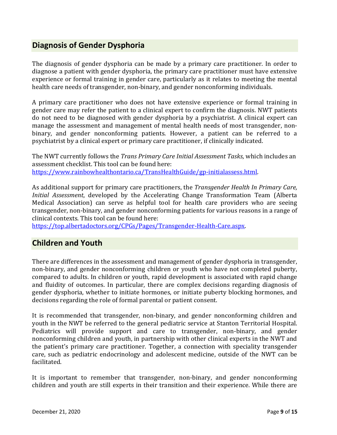# <span id="page-8-0"></span>**Diagnosis of Gender Dysphoria**

The diagnosis of gender dysphoria can be made by a primary care practitioner. In order to diagnose a patient with gender dysphoria, the primary care practitioner must have extensive experience or formal training in gender care, particularly as it relates to meeting the mental health care needs of transgender, non-binary, and gender nonconforming individuals.

A primary care practitioner who does not have extensive experience or formal training in gender care may refer the patient to a clinical expert to confirm the diagnosis. NWT patients do not need to be diagnosed with gender dysphoria by a psychiatrist. A clinical expert can manage the assessment and management of mental health needs of most transgender, nonbinary, and gender nonconforming patients. However, a patient can be referred to a psychiatrist by a clinical expert or primary care practitioner, if clinically indicated.

The NWT currently follows the *Trans Primary Care Initial Assessment Tasks*, which includes an assessment checklist. This tool can be found here: [https://www.rainbowhealthontario.ca/TransHealthGuide/gp-initialassess.html.](https://www.rainbowhealthontario.ca/TransHealthGuide/gp-initialassess.html)

As additional support for primary care practitioners, the *Transgender Health In Primary Care, Initial Assessment*, developed by the Accelerating Change Transformation Team (Alberta Medical Association) can serve as helpful tool for health care providers who are seeing transgender, non-binary, and gender nonconforming patients for various reasons in a range of clinical contexts. This tool can be found here:

[https://top.albertadoctors.org/CPGs/Pages/Transgender-Health-Care.aspx.](https://top.albertadoctors.org/CPGs/Pages/Transgender-Health-Care.aspx)

# <span id="page-8-1"></span>**Children and Youth**

There are differences in the assessment and management of gender dysphoria in transgender, non-binary, and gender nonconforming children or youth who have not completed puberty, compared to adults. In children or youth, rapid development is associated with rapid change and fluidity of outcomes. In particular, there are complex decisions regarding diagnosis of gender dysphoria, whether to initiate hormones, or initiate puberty blocking hormones, and decisions regarding the role of formal parental or patient consent.

It is recommended that transgender, non-binary, and gender nonconforming children and youth in the NWT be referred to the general pediatric service at Stanton Territorial Hospital. Pediatrics will provide support and care to transgender, non-binary, and gender nonconforming children and youth, in partnership with other clinical experts in the NWT and the patient's primary care practitioner. Together, a connection with speciality transgender care, such as pediatric endocrinology and adolescent medicine, outside of the NWT can be facilitated.

It is important to remember that transgender, non-binary, and gender nonconforming children and youth are still experts in their transition and their experience. While there are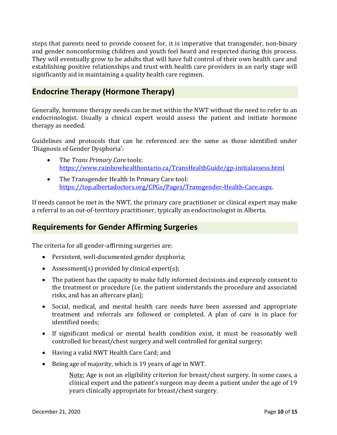steps that parents need to provide consent for, it is imperative that transgender, non-binary and gender nonconforming children and youth feel heard and respected during this process. They will eventually grow to be adults that will have full control of their own health care and establishing positive relationships and trust with health care providers in an early stage will significantly aid in maintaining a quality health care regimen.

# <span id="page-9-0"></span>**Endocrine Therapy (Hormone Therapy)**

Generally, hormone therapy needs can be met within the NWT without the need to refer to an endocrinologist. Usually a clinical expert would assess the patient and initiate hormone therapy as needed.

Guidelines and protocols that can be referenced are the same as those identified under 'Diagnosis of Gender Dysphoria':

- The *Trans Primary Care* tools: <https://www.rainbowhealthontario.ca/TransHealthGuide/gp-initialassess.html>
- The Transgender Health In Primary Care tool: [https://top.albertadoctors.org/CPGs/Pages/Transgender-Health-Care.aspx.](https://top.albertadoctors.org/CPGs/Pages/Transgender-Health-Care.aspx)

If needs cannot be met in the NWT, the primary care practitioner or clinical expert may make a referral to an out-of-territory practitioner, typically an endocrinologist in Alberta.

# <span id="page-9-1"></span>**Requirements for Gender Affirming Surgeries**

The criteria for all gender-affirming surgeries are:

- Persistent, well-documented gender dysphoria;
- Assessment(s) provided by clinical expert(s);
- The patient has the capacity to make fully informed decisions and expressly consent to the treatment or procedure (i.e. the patient understands the procedure and associated risks, and has an aftercare plan);
- Social, medical, and mental health care needs have been assessed and appropriate treatment and referrals are followed or completed. A plan of care is in place for identified needs;
- If significant medical or mental health condition exist, it must be reasonably well controlled for breast/chest surgery and well controlled for genital surgery;
- Having a valid NWT Health Care Card; and
- Being age of majority, which is 19 years of age in NWT.

Note: Age is not an eligibility criterion for breast/chest surgery. In some cases, a clinical expert and the patient's surgeon may deem a patient under the age of 19 years clinically appropriate for breast/chest surgery.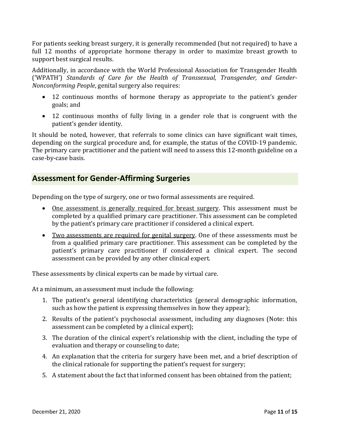For patients seeking breast surgery, it is generally recommended (but not required) to have a full 12 months of appropriate hormone therapy in order to maximize breast growth to support best surgical results.

Additionally, in accordance with the World Professional Association for Transgender Health ('WPATH') *Standards of Care for the Health of Transsexual, Transgender, and Gender-Nonconforming People*, genital surgery also requires:

- 12 continuous months of hormone therapy as appropriate to the patient's gender goals; and
- 12 continuous months of fully living in a gender role that is congruent with the patient's gender identity.

It should be noted, however, that referrals to some clinics can have significant wait times, depending on the surgical procedure and, for example, the status of the COVID-19 pandemic. The primary care practitioner and the patient will need to assess this 12-month guideline on a case-by-case basis.

## <span id="page-10-0"></span>**Assessment for Gender-Affirming Surgeries**

Depending on the type of surgery, one or two formal assessments are required.

- One assessment is generally required for breast surgery. This assessment must be completed by a qualified primary care practitioner. This assessment can be completed by the patient's primary care practitioner if considered a clinical expert.
- Two assessments are required for genital surgery. One of these assessments must be from a qualified primary care practitioner. This assessment can be completed by the patient's primary care practitioner if considered a clinical expert. The second assessment can be provided by any other clinical expert.

These assessments by clinical experts can be made by virtual care.

At a minimum, an assessment must include the following:

- 1. The patient's general identifying characteristics (general demographic information, such as how the patient is expressing themselves in how they appear);
- 2. Results of the patient's psychosocial assessment, including any diagnoses (Note: this assessment can be completed by a clinical expert);
- 3. The duration of the clinical expert's relationship with the client, including the type of evaluation and therapy or counseling to date;
- 4. An explanation that the criteria for surgery have been met, and a brief description of the clinical rationale for supporting the patient's request for surgery;
- 5. A statement about the fact that informed consent has been obtained from the patient;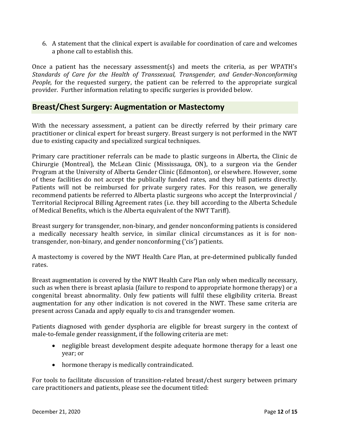6. A statement that the clinical expert is available for coordination of care and welcomes a phone call to establish this.

Once a patient has the necessary assessment(s) and meets the criteria, as per WPATH's *Standards of Care for the Health of Transsexual, Transgender, and Gender-Nonconforming People*, for the requested surgery, the patient can be referred to the appropriate surgical provider. Further information relating to specific surgeries is provided below.

### <span id="page-11-0"></span>**Breast/Chest Surgery: Augmentation or Mastectomy**

With the necessary assessment, a patient can be directly referred by their primary care practitioner or clinical expert for breast surgery. Breast surgery is not performed in the NWT due to existing capacity and specialized surgical techniques.

Primary care practitioner referrals can be made to plastic surgeons in Alberta, the Clinic de Chirurgie (Montreal), the McLean Clinic (Mississauga, ON), to a surgeon via the Gender Program at the University of Alberta Gender Clinic (Edmonton), or elsewhere. However, some of these facilities do not accept the publically funded rates, and they bill patients directly. Patients will not be reimbursed for private surgery rates. For this reason, we generally recommend patients be referred to Alberta plastic surgeons who accept the Interprovincial / Territorial Reciprocal Billing Agreement rates (i.e. they bill according to the Alberta Schedule of Medical Benefits, which is the Alberta equivalent of the NWT Tariff).

Breast surgery for transgender, non-binary, and gender nonconforming patients is considered a medically necessary health service, in similar clinical circumstances as it is for nontransgender, non-binary, and gender nonconforming ('cis') patients.

A mastectomy is covered by the NWT Health Care Plan, at pre-determined publically funded rates.

Breast augmentation is covered by the NWT Health Care Plan only when medically necessary, such as when there is breast aplasia (failure to respond to appropriate hormone therapy) or a congenital breast abnormality. Only few patients will fulfil these eligibility criteria. Breast augmentation for any other indication is not covered in the NWT. These same criteria are present across Canada and apply equally to cis and transgender women.

Patients diagnosed with gender dysphoria are eligible for breast surgery in the context of male-to-female gender reassignment, if the following criteria are met:

- negligible breast development despite adequate hormone therapy for a least one year; or
- hormone therapy is medically contraindicated.

For tools to facilitate discussion of transition-related breast/chest surgery between primary care practitioners and patients, please see the document titled: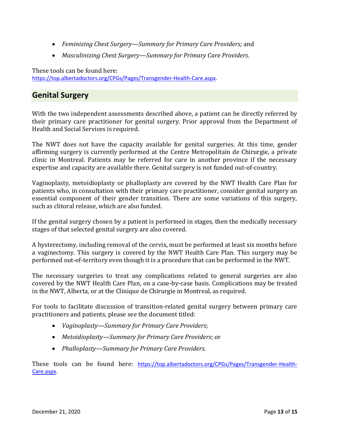- *Feminizing Chest Surgery—Summary for Primary Care Providers;* and
- *Masculinizing Chest Surgery—Summary for Primary Care Providers*.

These tools can be found here: [https://top.albertadoctors.org/CPGs/Pages/Transgender-Health-Care.aspx.](https://top.albertadoctors.org/CPGs/Pages/Transgender-Health-Care.aspx)

## <span id="page-12-0"></span>**Genital Surgery**

With the two independent assessments described above, a patient can be directly referred by their primary care practitioner for genital surgery. Prior approval from the Department of Health and Social Services is required.

The NWT does not have the capacity available for genital surgeries. At this time, gender affirming surgery is currently performed at the Centre Metropolitain de Chirurgie, a private clinic in Montreal. Patients may be referred for care in another province if the necessary expertise and capacity are available there. Genital surgery is not funded out-of-country.

Vaginoplasty, metoidioplasty or phalloplasty are covered by the NWT Health Care Plan for patients who, in consultation with their primary care practitioner, consider genital surgery an essential component of their gender transition. There are some variations of this surgery, such as clitoral release, which are also funded.

If the genital surgery chosen by a patient is performed in stages, then the medically necessary stages of that selected genital surgery are also covered.

A hysterectomy, including removal of the cervix, must be performed at least six months before a vaginectomy. This surgery is covered by the NWT Health Care Plan. This surgery may be performed out-of-territory even though it is a procedure that can be performed in the NWT.

The necessary surgeries to treat any complications related to general surgeries are also covered by the NWT Health Care Plan, on a case-by-case basis. Complications may be treated in the NWT, Alberta, or at the Clinique de Chirurgie in Montreal, as required.

For tools to facilitate discussion of transition-related genital surgery between primary care practitioners and patients, please see the document titled:

- *Vaginoplasty—Summary for Primary Care Providers*;
- *Metoidioplasty—Summary for Primary Care Providers*; or
- *Phalloplasty—Summary for Primary Care Providers*.

These tools can be found here: [https://top.albertadoctors.org/CPGs/Pages/Transgender-Health-](https://top.albertadoctors.org/CPGs/Pages/Transgender-Health-Care.aspx)[Care.aspx.](https://top.albertadoctors.org/CPGs/Pages/Transgender-Health-Care.aspx)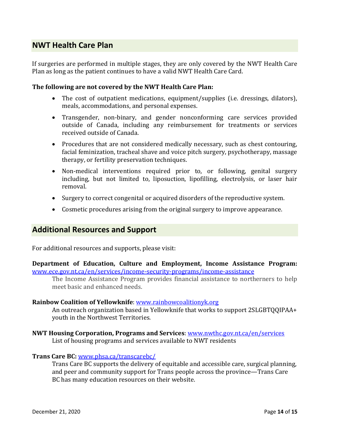# <span id="page-13-0"></span>**NWT Health Care Plan**

If surgeries are performed in multiple stages, they are only covered by the NWT Health Care Plan as long as the patient continues to have a valid NWT Health Care Card.

#### **The following are not covered by the NWT Health Care Plan:**

- The cost of outpatient medications, equipment/supplies (i.e. dressings, dilators), meals, accommodations, and personal expenses.
- Transgender, non-binary, and gender nonconforming care services provided outside of Canada, including any reimbursement for treatments or services received outside of Canada.
- Procedures that are not considered medically necessary, such as chest contouring, facial feminization, tracheal shave and voice pitch surgery, psychotherapy, massage therapy, or fertility preservation techniques.
- Non-medical interventions required prior to, or following, genital surgery including, but not limited to, liposuction, lipofilling, electrolysis, or laser hair removal.
- Surgery to correct congenital or acquired disorders of the reproductive system.
- Cosmetic procedures arising from the original surgery to improve appearance.

### <span id="page-13-1"></span>**Additional Resources and Support**

For additional resources and supports, please visit:

**Department of Education, Culture and Employment, Income Assistance Program:**  [www.ece.gov.nt.ca/en/services/income-security-programs/income-assistance](http://www.ece.gov.nt.ca/en/services/income-security-programs/income-assistance)

The Income Assistance Program provides financial assistance to northerners to help meet basic and enhanced needs.

#### **Rainbow Coalition of Yellowknife**: [www.rainbowcoalitionyk.org](http://www.rainbowcoalitionyk.org/)

An outreach organization based in Yellowknife that works to support 2SLGBTQQIPAA+ youth in the Northwest Territories.

**NWT Housing Corporation, Programs and Services**: [www.nwthc.gov.nt.ca/en/services](http://www.nwthc.gov.nt.ca/en/services) List of housing programs and services available to NWT residents

#### **Trans Care BC:** [www.phsa.ca/transcarebc/](http://www.phsa.ca/transcarebc/)

Trans Care BC supports the delivery of equitable and accessible care, surgical planning, and peer and community support for Trans people across the province—Trans Care BC has many education resources on their website.